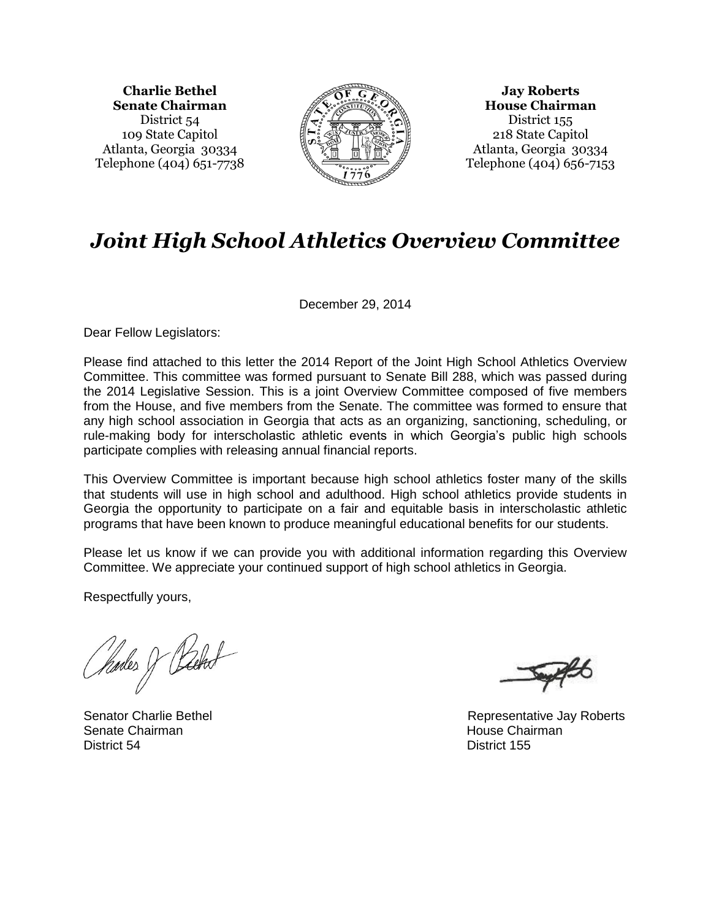**Charlie Bethel Senate Chairman** District 54 109 State Capitol Atlanta, Georgia 30334 Telephone (404) 651-7738



**Jay Roberts House Chairman** District 155 218 State Capitol Atlanta, Georgia 30334 Telephone (404) 656-7153

# *Joint High School Athletics Overview Committee*

December 29, 2014

Dear Fellow Legislators:

Please find attached to this letter the 2014 Report of the Joint High School Athletics Overview Committee. This committee was formed pursuant to Senate Bill 288, which was passed during the 2014 Legislative Session. This is a joint Overview Committee composed of five members from the House, and five members from the Senate. The committee was formed to ensure that any high school association in Georgia that acts as an organizing, sanctioning, scheduling, or rule-making body for interscholastic athletic events in which Georgia's public high schools participate complies with releasing annual financial reports.

This Overview Committee is important because high school athletics foster many of the skills that students will use in high school and adulthood. High school athletics provide students in Georgia the opportunity to participate on a fair and equitable basis in interscholastic athletic programs that have been known to produce meaningful educational benefits for our students.

Please let us know if we can provide you with additional information regarding this Overview Committee. We appreciate your continued support of high school athletics in Georgia.

Respectfully yours,

Parles J Packed

Senate Chairman **House Chairman** House Chairman House Chairman District 54 District 155

Senator Charlie Bethel **Representative Jay Roberts**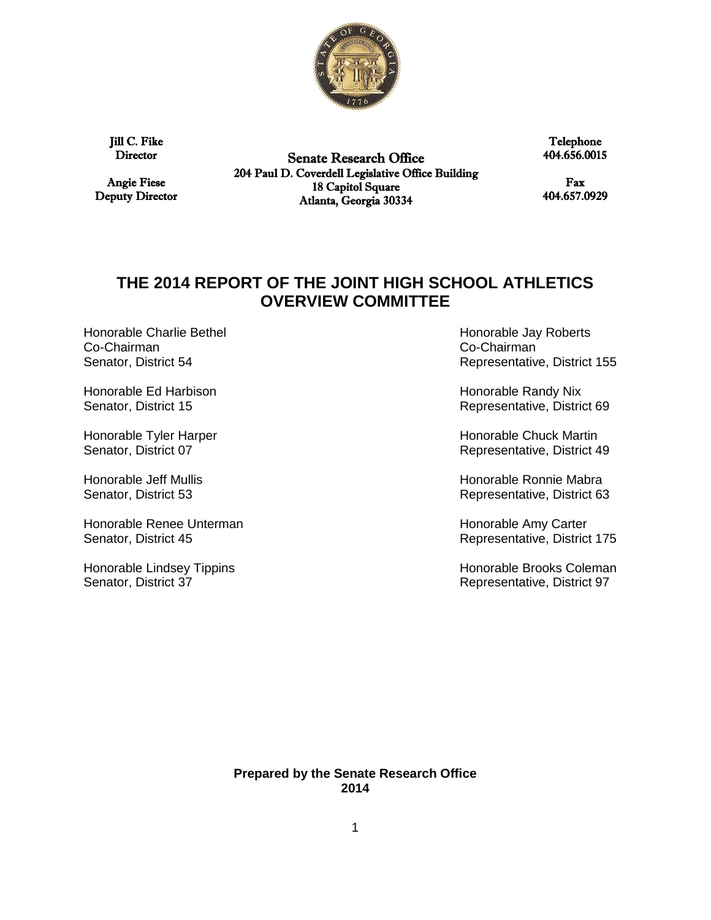

Jill C. Fike **Director** 

Angie Fiese Deputy Director

Senate Research Office 204 Paul D. Coverdell Legislative Office Building 18 Capitol Square Atlanta, Georgia 30334

Telephone 404.656.0015

Fax 404.657.0929

## **THE 2014 REPORT OF THE JOINT HIGH SCHOOL ATHLETICS OVERVIEW COMMITTEE**

Honorable Charlie Bethel **Honorable Jay Roberts** Co-Chairman Co-Chairman

Honorable Ed Harbison **Honorable Randy Nix Honorable Randy Nix** 

Honorable Renee Unterman Honorable Amy Carter Senator, District 45 **Senator**, District 45

Senator, District 54 **Senator**, District 54 **Representative, District 155** 

Senator, District 15 **Senator**, District 15 **Representative, District 69** 

Honorable Tyler Harper **Honorable Chuck Martin** Senator, District 07 **Senator**, District 49

Honorable Jeff Mullis **Honorable Ronnie Mabra** Senator, District 53 **Senator, District 63** Representative, District 63

Honorable Lindsey Tippins **Honorable Brooks Coleman** Senator, District 37 **Senator**, District 37 **Representative, District 97** 

> **Prepared by the Senate Research Office 2014**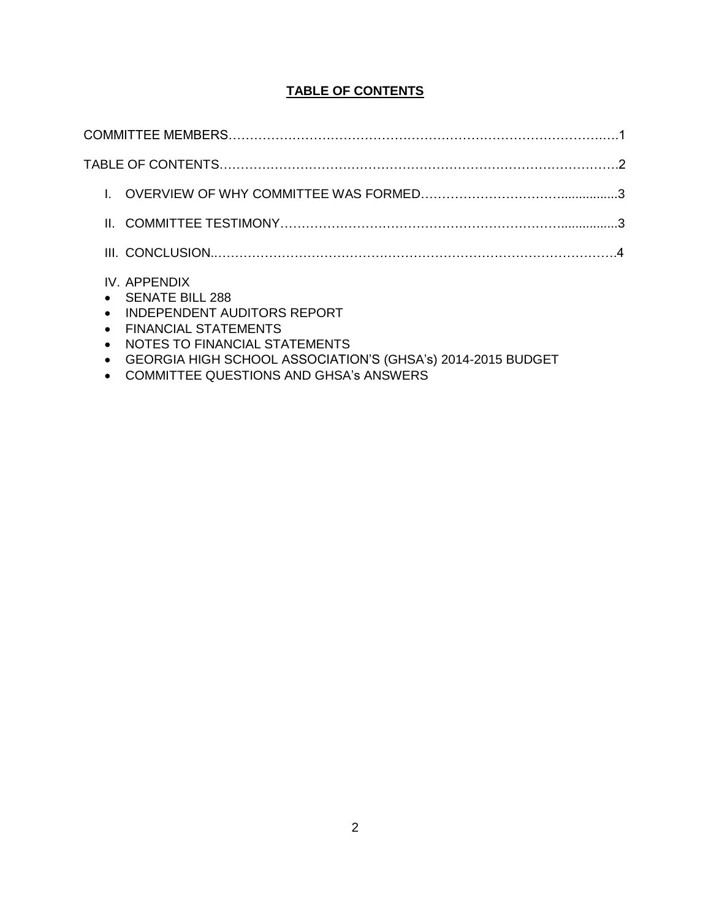### **TABLE OF CONTENTS**

| $\bullet$<br>$\bullet$<br>$\bullet$<br>$\bullet$ | IV. APPENDIX<br><b>SENATE BILL 288</b><br><b>INDEPENDENT AUDITORS REPORT</b><br><b>FINANCIAL STATEMENTS</b><br>NOTES TO FINANCIAL STATEMENTS |  |
|--------------------------------------------------|----------------------------------------------------------------------------------------------------------------------------------------------|--|

- GEORGIA HIGH SCHOOL ASSOCIATION'S (GHSA's) 2014-2015 BUDGET
- COMMITTEE QUESTIONS AND GHSA's ANSWERS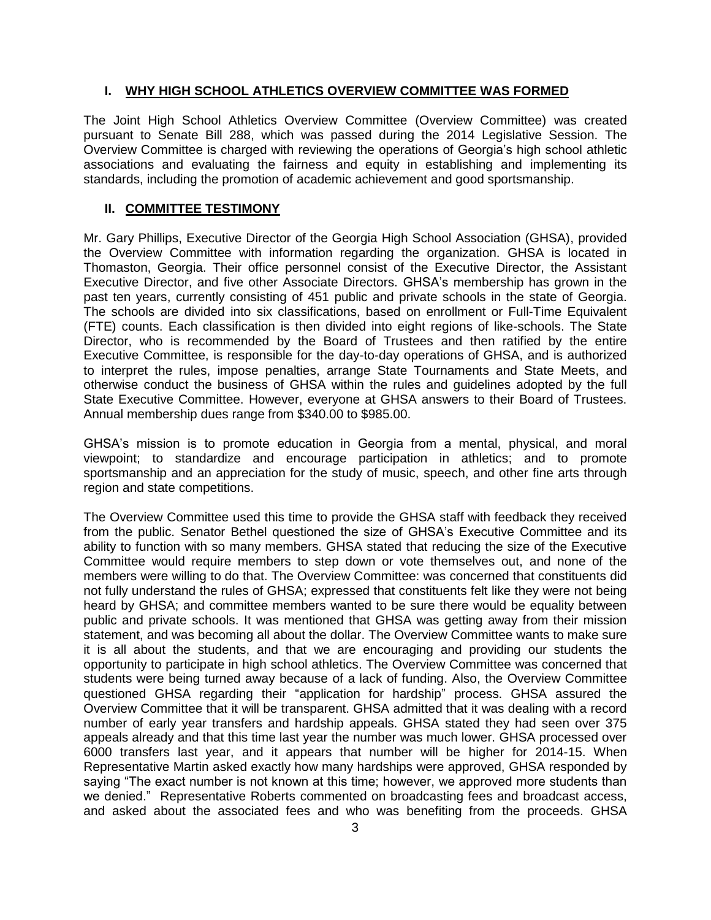#### **I. WHY HIGH SCHOOL ATHLETICS OVERVIEW COMMITTEE WAS FORMED**

The Joint High School Athletics Overview Committee (Overview Committee) was created pursuant to Senate Bill 288, which was passed during the 2014 Legislative Session. The Overview Committee is charged with reviewing the operations of Georgia's high school athletic associations and evaluating the fairness and equity in establishing and implementing its standards, including the promotion of academic achievement and good sportsmanship.

#### **II. COMMITTEE TESTIMONY**

Mr. Gary Phillips, Executive Director of the Georgia High School Association (GHSA), provided the Overview Committee with information regarding the organization. GHSA is located in Thomaston, Georgia. Their office personnel consist of the Executive Director, the Assistant Executive Director, and five other Associate Directors. GHSA's membership has grown in the past ten years, currently consisting of 451 public and private schools in the state of Georgia. The schools are divided into six classifications, based on enrollment or Full-Time Equivalent (FTE) counts. Each classification is then divided into eight regions of like-schools. The State Director, who is recommended by the Board of Trustees and then ratified by the entire Executive Committee, is responsible for the day-to-day operations of GHSA, and is authorized to interpret the rules, impose penalties, arrange State Tournaments and State Meets, and otherwise conduct the business of GHSA within the rules and guidelines adopted by the full State Executive Committee. However, everyone at GHSA answers to their Board of Trustees. Annual membership dues range from \$340.00 to \$985.00.

GHSA's mission is to promote education in Georgia from a mental, physical, and moral viewpoint; to standardize and encourage participation in athletics; and to promote sportsmanship and an appreciation for the study of music, speech, and other fine arts through region and state competitions.

The Overview Committee used this time to provide the GHSA staff with feedback they received from the public. Senator Bethel questioned the size of GHSA's Executive Committee and its ability to function with so many members. GHSA stated that reducing the size of the Executive Committee would require members to step down or vote themselves out, and none of the members were willing to do that. The Overview Committee: was concerned that constituents did not fully understand the rules of GHSA; expressed that constituents felt like they were not being heard by GHSA; and committee members wanted to be sure there would be equality between public and private schools. It was mentioned that GHSA was getting away from their mission statement, and was becoming all about the dollar. The Overview Committee wants to make sure it is all about the students, and that we are encouraging and providing our students the opportunity to participate in high school athletics. The Overview Committee was concerned that students were being turned away because of a lack of funding. Also, the Overview Committee questioned GHSA regarding their "application for hardship" process. GHSA assured the Overview Committee that it will be transparent. GHSA admitted that it was dealing with a record number of early year transfers and hardship appeals. GHSA stated they had seen over 375 appeals already and that this time last year the number was much lower. GHSA processed over 6000 transfers last year, and it appears that number will be higher for 2014-15. When Representative Martin asked exactly how many hardships were approved, GHSA responded by saying "The exact number is not known at this time; however, we approved more students than we denied." Representative Roberts commented on broadcasting fees and broadcast access, and asked about the associated fees and who was benefiting from the proceeds. GHSA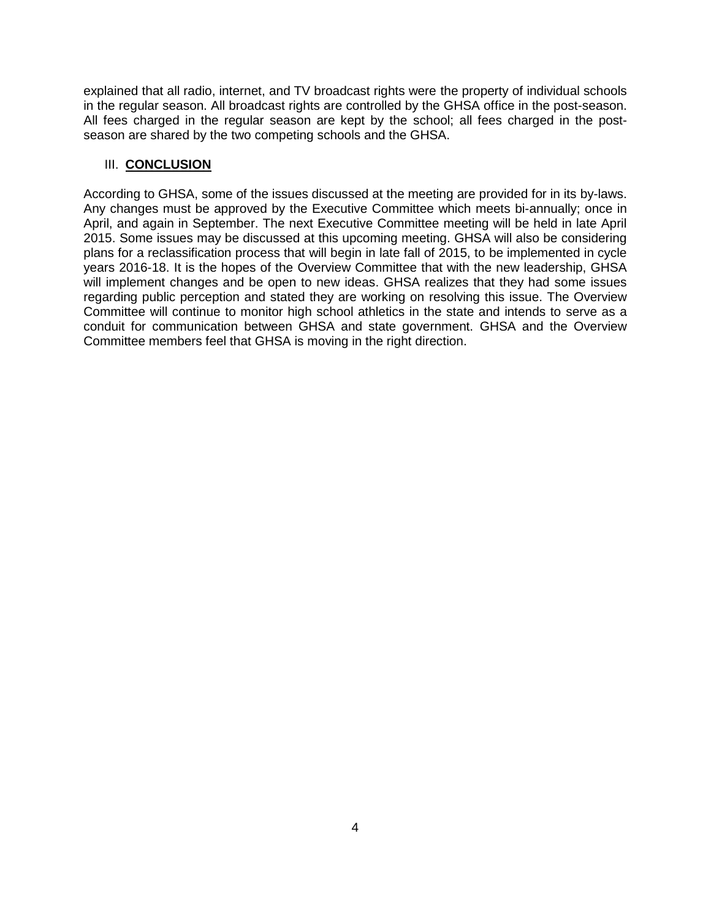explained that all radio, internet, and TV broadcast rights were the property of individual schools in the regular season. All broadcast rights are controlled by the GHSA office in the post-season. All fees charged in the regular season are kept by the school; all fees charged in the postseason are shared by the two competing schools and the GHSA.

#### III. **CONCLUSION**

According to GHSA, some of the issues discussed at the meeting are provided for in its by-laws. Any changes must be approved by the Executive Committee which meets bi-annually; once in April, and again in September. The next Executive Committee meeting will be held in late April 2015. Some issues may be discussed at this upcoming meeting. GHSA will also be considering plans for a reclassification process that will begin in late fall of 2015, to be implemented in cycle years 2016-18. It is the hopes of the Overview Committee that with the new leadership, GHSA will implement changes and be open to new ideas. GHSA realizes that they had some issues regarding public perception and stated they are working on resolving this issue. The Overview Committee will continue to monitor high school athletics in the state and intends to serve as a conduit for communication between GHSA and state government. GHSA and the Overview Committee members feel that GHSA is moving in the right direction.